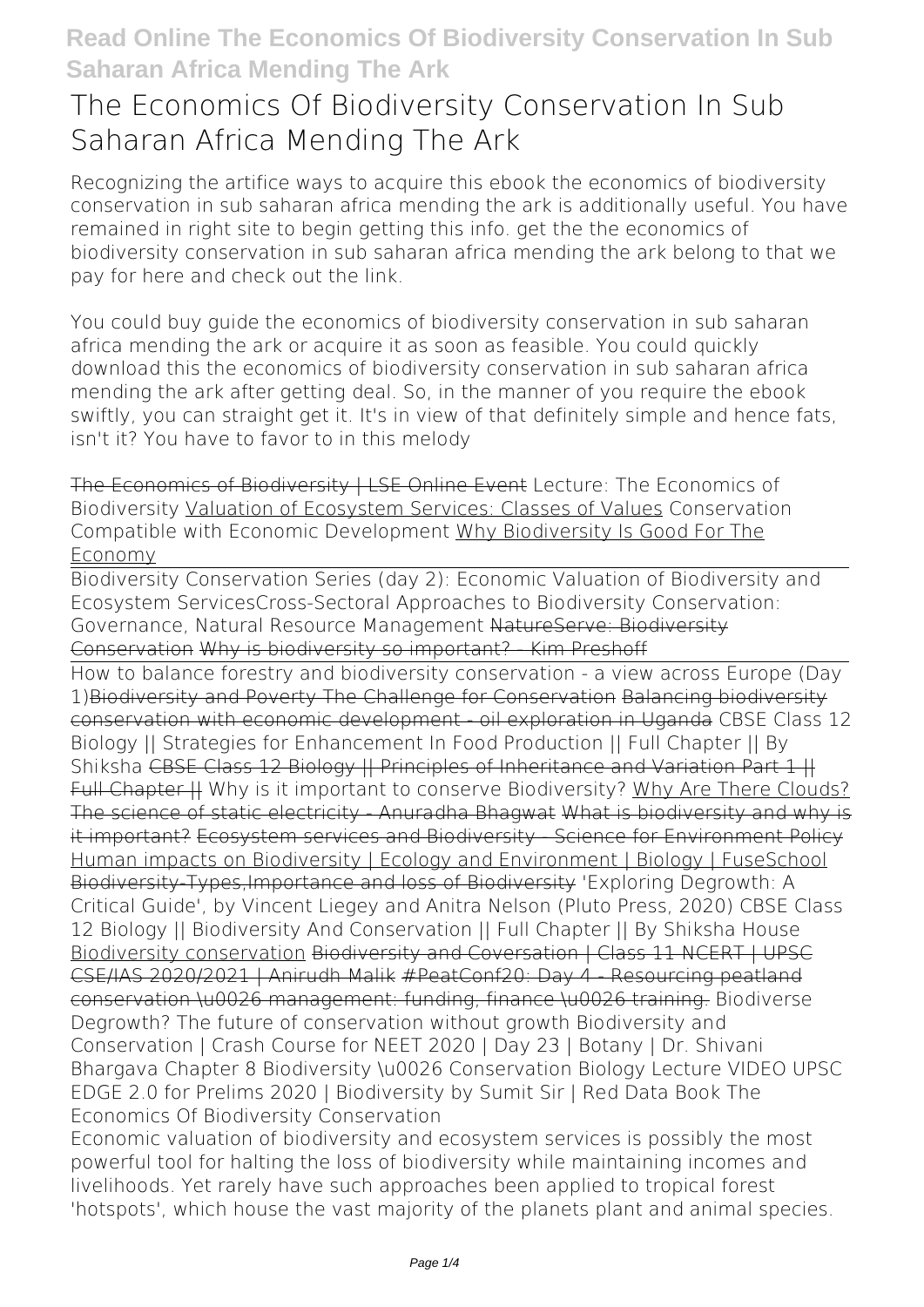## **The Economics Of Biodiversity Conservation In Sub Saharan Africa Mending The Ark**

Recognizing the artifice ways to acquire this ebook **the economics of biodiversity conservation in sub saharan africa mending the ark** is additionally useful. You have remained in right site to begin getting this info. get the the economics of biodiversity conservation in sub saharan africa mending the ark belong to that we pay for here and check out the link.

You could buy guide the economics of biodiversity conservation in sub saharan africa mending the ark or acquire it as soon as feasible. You could quickly download this the economics of biodiversity conservation in sub saharan africa mending the ark after getting deal. So, in the manner of you require the ebook swiftly, you can straight get it. It's in view of that definitely simple and hence fats, isn't it? You have to favor to in this melody

The Economics of Biodiversity | LSE Online Event *Lecture: The Economics of Biodiversity* Valuation of Ecosystem Services: Classes of Values *Conservation Compatible with Economic Development* Why Biodiversity Is Good For The Economy

Biodiversity Conservation Series (day 2): Economic Valuation of Biodiversity and Ecosystem Services*Cross-Sectoral Approaches to Biodiversity Conservation: Governance, Natural Resource Management* NatureServe: Biodiversity Conservation Why is biodiversity so important? - Kim Preshoff

How to balance forestry and biodiversity conservation - a view across Europe (Day 1)Biodiversity and Poverty The Challenge for Conservation Balancing biodiversity conservation with economic development - oil exploration in Uganda *CBSE Class 12 Biology || Strategies for Enhancement In Food Production || Full Chapter || By Shiksha* CBSE Class 12 Biology || Principles of Inheritance and Variation Part 1 || Full Chapter H Why is it important to conserve Biodiversity? Why Are There Clouds? The science of static electricity - Anuradha Bhagwat What is biodiversity and why is it important? Ecosystem services and Biodiversity - Science for Environment Policy Human impacts on Biodiversity | Ecology and Environment | Biology | FuseSchool Biodiversity-Types,Importance and loss of Biodiversity *'Exploring Degrowth: A Critical Guide', by Vincent Liegey and Anitra Nelson (Pluto Press, 2020) CBSE Class 12 Biology || Biodiversity And Conservation || Full Chapter || By Shiksha House* Biodiversity conservation Biodiversity and Coversation | Class 11 NCERT | UPSC CSE/IAS 2020/2021 | Anirudh Malik #PeatConf20: Day 4 - Resourcing peatland conservation \u0026 management: funding, finance \u0026 training. **Biodiverse Degrowth? The future of conservation without growth Biodiversity and Conservation | Crash Course for NEET 2020 | Day 23 | Botany | Dr. Shivani Bhargava Chapter 8 Biodiversity \u0026 Conservation Biology Lecture VIDEO** UPSC EDGE 2.0 for Prelims 2020 | Biodiversity by Sumit Sir | Red Data Book **The Economics Of Biodiversity Conservation**

Economic valuation of biodiversity and ecosystem services is possibly the most powerful tool for halting the loss of biodiversity while maintaining incomes and livelihoods. Yet rarely have such approaches been applied to tropical forest 'hotspots', which house the vast majority of the planets plant and animal species.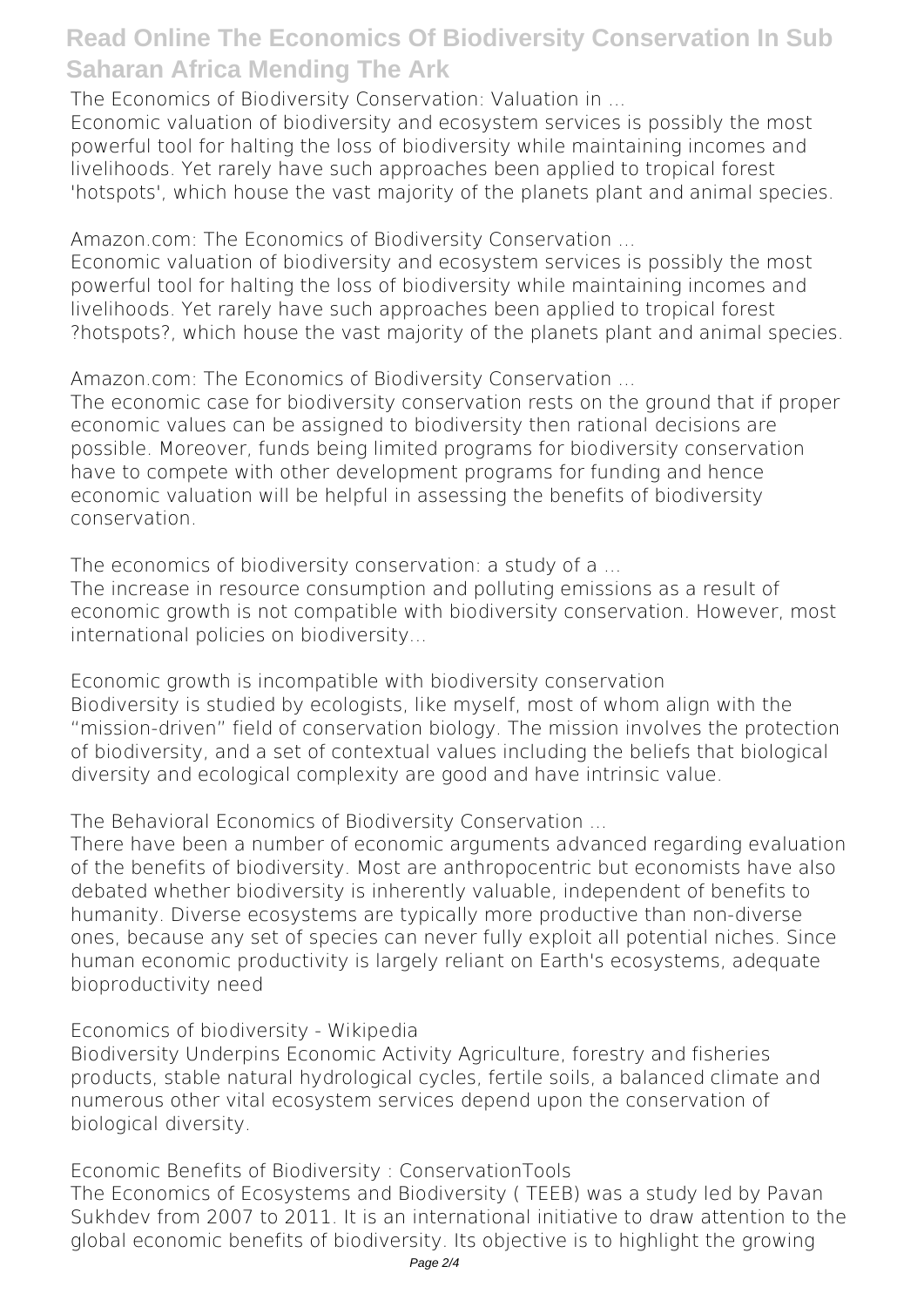**The Economics of Biodiversity Conservation: Valuation in ...**

Economic valuation of biodiversity and ecosystem services is possibly the most powerful tool for halting the loss of biodiversity while maintaining incomes and livelihoods. Yet rarely have such approaches been applied to tropical forest 'hotspots', which house the vast majority of the planets plant and animal species.

**Amazon.com: The Economics of Biodiversity Conservation ...**

Economic valuation of biodiversity and ecosystem services is possibly the most powerful tool for halting the loss of biodiversity while maintaining incomes and livelihoods. Yet rarely have such approaches been applied to tropical forest ?hotspots?, which house the vast majority of the planets plant and animal species.

**Amazon.com: The Economics of Biodiversity Conservation ...**

The economic case for biodiversity conservation rests on the ground that if proper economic values can be assigned to biodiversity then rational decisions are possible. Moreover, funds being limited programs for biodiversity conservation have to compete with other development programs for funding and hence economic valuation will be helpful in assessing the benefits of biodiversity conservation.

**The economics of biodiversity conservation: a study of a ...**

The increase in resource consumption and polluting emissions as a result of economic growth is not compatible with biodiversity conservation. However, most international policies on biodiversity...

**Economic growth is incompatible with biodiversity conservation** Biodiversity is studied by ecologists, like myself, most of whom align with the "mission-driven" field of conservation biology. The mission involves the protection of biodiversity, and a set of contextual values including the beliefs that biological diversity and ecological complexity are good and have intrinsic value.

**The Behavioral Economics of Biodiversity Conservation ...**

There have been a number of economic arguments advanced regarding evaluation of the benefits of biodiversity. Most are anthropocentric but economists have also debated whether biodiversity is inherently valuable, independent of benefits to humanity. Diverse ecosystems are typically more productive than non-diverse ones, because any set of species can never fully exploit all potential niches. Since human economic productivity is largely reliant on Earth's ecosystems, adequate bioproductivity need

**Economics of biodiversity - Wikipedia**

Biodiversity Underpins Economic Activity Agriculture, forestry and fisheries products, stable natural hydrological cycles, fertile soils, a balanced climate and numerous other vital ecosystem services depend upon the conservation of biological diversity.

**Economic Benefits of Biodiversity : ConservationTools** The Economics of Ecosystems and Biodiversity ( TEEB) was a study led by Pavan Sukhdev from 2007 to 2011. It is an international initiative to draw attention to the global economic benefits of biodiversity. Its objective is to highlight the growing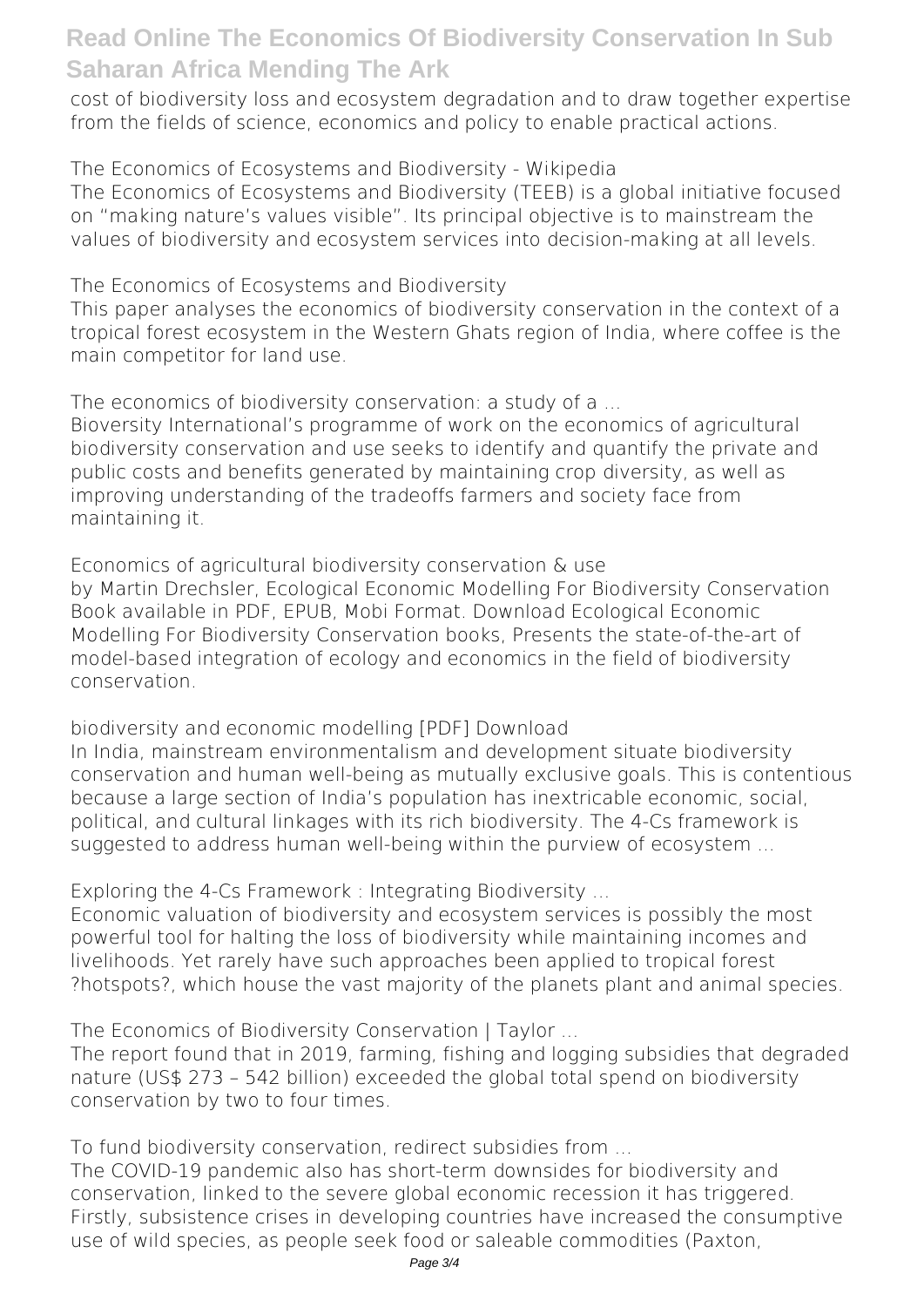cost of biodiversity loss and ecosystem degradation and to draw together expertise from the fields of science, economics and policy to enable practical actions.

**The Economics of Ecosystems and Biodiversity - Wikipedia** The Economics of Ecosystems and Biodiversity (TEEB) is a global initiative focused on "making nature's values visible". Its principal objective is to mainstream the values of biodiversity and ecosystem services into decision-making at all levels.

**The Economics of Ecosystems and Biodiversity**

This paper analyses the economics of biodiversity conservation in the context of a tropical forest ecosystem in the Western Ghats region of India, where coffee is the main competitor for land use.

**The economics of biodiversity conservation: a study of a ...**

Bioversity International's programme of work on the economics of agricultural biodiversity conservation and use seeks to identify and quantify the private and public costs and benefits generated by maintaining crop diversity, as well as improving understanding of the tradeoffs farmers and society face from maintaining it.

**Economics of agricultural biodiversity conservation & use** by Martin Drechsler, Ecological Economic Modelling For Biodiversity Conservation Book available in PDF, EPUB, Mobi Format. Download Ecological Economic Modelling For Biodiversity Conservation books, Presents the state-of-the-art of model-based integration of ecology and economics in the field of biodiversity conservation.

**biodiversity and economic modelling [PDF] Download** In India, mainstream environmentalism and development situate biodiversity conservation and human well-being as mutually exclusive goals. This is contentious because a large section of India's population has inextricable economic, social, political, and cultural linkages with its rich biodiversity. The 4-Cs framework is suggested to address human well-being within the purview of ecosystem ...

**Exploring the 4-Cs Framework : Integrating Biodiversity ...**

Economic valuation of biodiversity and ecosystem services is possibly the most powerful tool for halting the loss of biodiversity while maintaining incomes and livelihoods. Yet rarely have such approaches been applied to tropical forest ?hotspots?, which house the vast majority of the planets plant and animal species.

**The Economics of Biodiversity Conservation | Taylor ...**

The report found that in 2019, farming, fishing and logging subsidies that degraded nature (US\$ 273 – 542 billion) exceeded the global total spend on biodiversity conservation by two to four times.

**To fund biodiversity conservation, redirect subsidies from ...**

The COVID-19 pandemic also has short-term downsides for biodiversity and conservation, linked to the severe global economic recession it has triggered. Firstly, subsistence crises in developing countries have increased the consumptive use of wild species, as people seek food or saleable commodities (Paxton,